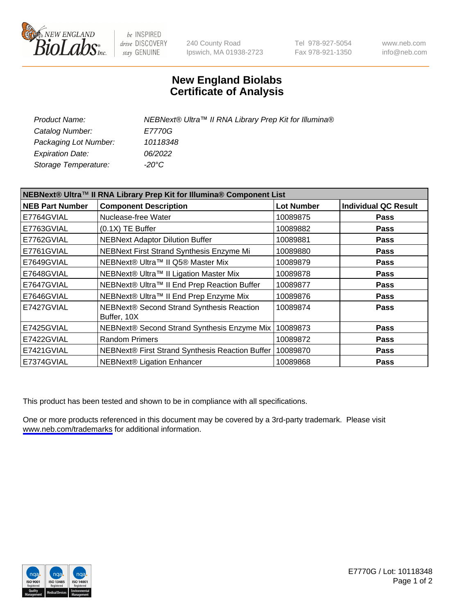

be INSPIRED drive DISCOVERY stay GENUINE

240 County Road Ipswich, MA 01938-2723 Tel 978-927-5054 Fax 978-921-1350

www.neb.com info@neb.com

## **New England Biolabs Certificate of Analysis**

| Product Name:           | NEBNext® Ultra™ II RNA Library Prep Kit for Illumina® |
|-------------------------|-------------------------------------------------------|
| Catalog Number:         | <i>E7770G</i>                                         |
| Packaging Lot Number:   | 10118348                                              |
| <b>Expiration Date:</b> | 06/2022                                               |
| Storage Temperature:    | -20°C                                                 |

| NEBNext® Ultra™ II RNA Library Prep Kit for Illumina® Component List |                                                          |                   |                             |
|----------------------------------------------------------------------|----------------------------------------------------------|-------------------|-----------------------------|
| <b>NEB Part Number</b>                                               | <b>Component Description</b>                             | <b>Lot Number</b> | <b>Individual QC Result</b> |
| E7764GVIAL                                                           | Nuclease-free Water                                      | 10089875          | <b>Pass</b>                 |
| E7763GVIAL                                                           | $(0.1X)$ TE Buffer                                       | 10089882          | <b>Pass</b>                 |
| E7762GVIAL                                                           | <b>NEBNext Adaptor Dilution Buffer</b>                   | 10089881          | <b>Pass</b>                 |
| E7761GVIAL                                                           | NEBNext First Strand Synthesis Enzyme Mi                 | 10089880          | <b>Pass</b>                 |
| E7649GVIAL                                                           | NEBNext® Ultra™ II Q5® Master Mix                        | 10089879          | <b>Pass</b>                 |
| E7648GVIAL                                                           | NEBNext® Ultra™ II Ligation Master Mix                   | 10089878          | Pass                        |
| E7647GVIAL                                                           | NEBNext® Ultra™ II End Prep Reaction Buffer              | 10089877          | <b>Pass</b>                 |
| E7646GVIAL                                                           | NEBNext® Ultra™ II End Prep Enzyme Mix                   | 10089876          | <b>Pass</b>                 |
| E7427GVIAL                                                           | NEBNext® Second Strand Synthesis Reaction<br>Buffer, 10X | 10089874          | <b>Pass</b>                 |
| E7425GVIAL                                                           | NEBNext® Second Strand Synthesis Enzyme Mix              | 10089873          | <b>Pass</b>                 |
| E7422GVIAL                                                           | <b>Random Primers</b>                                    | 10089872          | <b>Pass</b>                 |
| E7421GVIAL                                                           | NEBNext® First Strand Synthesis Reaction Buffer          | 10089870          | <b>Pass</b>                 |
| E7374GVIAL                                                           | <b>NEBNext® Ligation Enhancer</b>                        | 10089868          | <b>Pass</b>                 |

This product has been tested and shown to be in compliance with all specifications.

One or more products referenced in this document may be covered by a 3rd-party trademark. Please visit <www.neb.com/trademarks>for additional information.



E7770G / Lot: 10118348 Page 1 of 2